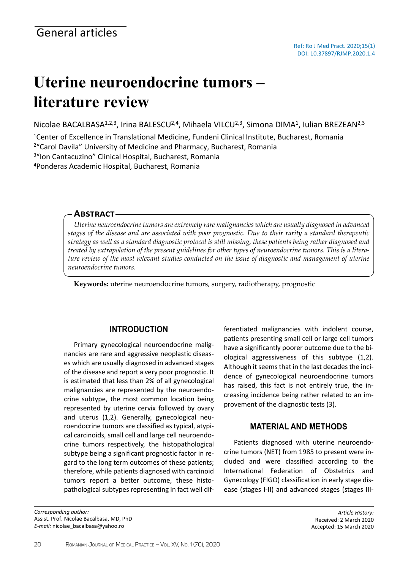# **Uterine neuroendocrine tumors – literature review**

Nicolae BACALBASA<sup>1,2,3</sup>, Irina BALESCU<sup>2,4</sup>, Mihaela VILCU<sup>2,3</sup>, Simona DIMA<sup>1</sup>, Iulian BREZEAN<sup>2,3</sup>

Center of Excellence in Translational Medicine, Fundeni Clinical Institute, Bucharest, Romania "Carol Davila" University of Medicine and Pharmacy, Bucharest, Romania "Ion Cantacuzino" Clinical Hospital, Bucharest, Romania Ponderas Academic Hospital, Bucharest, Romania

## **Abstract**

*Uterine neuroendocrine tumors are extremely rare malignancies which are usually diagnosed in advanced stages of the disease and are associated with poor prognostic. Due to their rarity a standard therapeutic strategy as well as a standard diagnostic protocol is still missing, these patients being rather diagnosed and treated by extrapolation of the present guidelines for other types of neuroendocrine tumors. This is a literature review of the most relevant studies conducted on the issue of diagnostic and management of uterine neuroendocrine tumors.*

**Keywords:** uterine neuroendocrine tumors, surgery, radiotherapy, prognostic

# **INTRODUCTION**

Primary gynecological neuroendocrine malignancies are rare and aggressive neoplastic diseases which are usually diagnosed in advanced stages of the disease and report a very poor prognostic. It is estimated that less than 2% of all gynecological malignancies are represented by the neuroendocrine subtype, the most common location being represented by uterine cervix followed by ovary and uterus (1,2). Generally, gynecological neuroendocrine tumors are classified as typical, atypical carcinoids, small cell and large cell neuroendocrine tumors respectively, the histopathological subtype being a significant prognostic factor in regard to the long term outcomes of these patients; therefore, while patients diagnosed with carcinoid tumors report a better outcome, these histopathological subtypes representing in fact well dif-

*Corresponding author:* Assist. Prof. Nicolae Bacalbasa, MD, PhD *E-mail:* nicolae\_bacalbasa@yahoo.ro

ferentiated malignancies with indolent course, patients presenting small cell or large cell tumors have a significantly poorer outcome due to the biological aggressiveness of this subtype (1,2). Although it seems that in the last decades the incidence of gynecological neuroendocrine tumors has raised, this fact is not entirely true, the increasing incidence being rather related to an improvement of the diagnostic tests (3).

# **MATERIAL AND METHODS**

Patients diagnosed with uterine neuroendocrine tumors (NET) from 1985 to present were included and were classified according to the International Federation of Obstetrics and Gynecology (FIGO) classification in early stage disease (stages I-II) and advanced stages (stages III-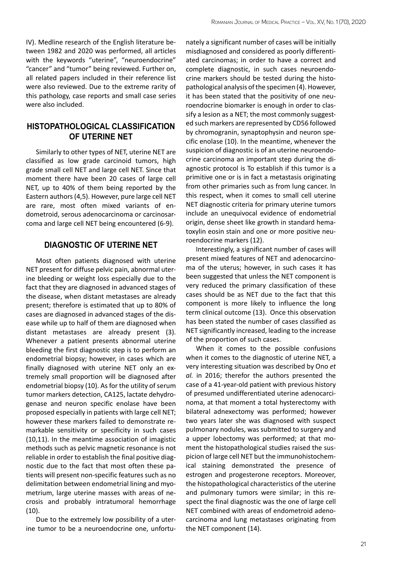IV). Medline research of the English literature between 1982 and 2020 was performed, all articles with the keywords "uterine", "neuroendocrine" "cancer" and "tumor" being reviewed. Further on, all related papers included in their reference list were also reviewed. Due to the extreme rarity of this pathology, case reports and small case series were also included.

# **HISTOPATHOLOGICAL CLASSIFICATION OF UTERINE NET**

Similarly to other types of NET, uterine NET are classified as low grade carcinoid tumors, high grade small cell NET and large cell NET. Since that moment there have been 20 cases of large cell NET, up to 40% of them being reported by the Eastern authors (4,5). However, pure large cell NET are rare, most often mixed variants of endometroid, serous adenocarcinoma or carcinosarcoma and large cell NET being encountered (6-9).

# **DIAGNOSTIC OF UTERINE NET**

Most often patients diagnosed with uterine NET present for diffuse pelvic pain, abnormal uterine bleeding or weight loss especially due to the fact that they are diagnosed in advanced stages of the disease, when distant metastases are already present; therefore is estimated that up to 80% of cases are diagnosed in advanced stages of the disease while up to half of them are diagnosed when distant metastases are already present (3). Whenever a patient presents abnormal uterine bleeding the first diagnostic step is to perform an endometrial biopsy; however, in cases which are finally diagnosed with uterine NET only an extremely small proportion will be diagnosed after endometrial biopsy (10). As for the utility of serum tumor markers detection, CA125, lactate dehydrogenase and neuron specific enolase have been proposed especially in patients with large cell NET; however these markers failed to demonstrate remarkable sensitivity or specificity in such cases (10,11). In the meantime association of imagistic methods such as pelvic magnetic resonance is not reliable in order to establish the final positive diagnostic due to the fact that most often these patients will present non-specific features such as no delimitation between endometrial lining and myometrium, large uterine masses with areas of necrosis and probably intratumoral hemorrhage  $(10).$ 

Due to the extremely low possibility of a uterine tumor to be a neuroendocrine one, unfortu-

nately a significant number of cases will be initially misdiagnosed and considered as poorly differentiated carcinomas; in order to have a correct and complete diagnostic, in such cases neuroendocrine markers should be tested during the histopathological analysis of the specimen (4). However, it has been stated that the positivity of one neuroendocrine biomarker is enough in order to classify a lesion as a NET; the most commonly suggested such markers are represented by CD56 followed by chromogranin, synaptophysin and neuron specific enolase (10). In the meantime, whenever the suspicion of diagnostic is of an uterine neuroendocrine carcinoma an important step during the diagnostic protocol is To establish if this tumor is a primitive one or is in fact a metastasis originating from other primaries such as from lung cancer. In this respect, when it comes to small cell uterine NET diagnostic criteria for primary uterine tumors include an unequivocal evidence of endometrial origin, dense sheet like growth in standard hematoxylin eosin stain and one or more positive neuroendocrine markers (12).

Interestingly, a significant number of cases will present mixed features of NET and adenocarcinoma of the uterus; however, in such cases it has been suggested that unless the NET component is very reduced the primary classification of these cases should be as NET due to the fact that this component is more likely to influence the long term clinical outcome (13). Once this observation has been stated the number of cases classified as NET significantly increased, leading to the increase of the proportion of such cases.

When it comes to the possible confusions when it comes to the diagnostic of uterine NET, a very interesting situation was described by Ono *et al.* in 2016; therefor the authors presented the case of a 41-year-old patient with previous history of presumed undifferentiated uterine adenocarcinoma, at that moment a total hysterectomy with bilateral adnexectomy was performed; however two years later she was diagnosed with suspect pulmonary nodules, was submitted to surgery and a upper lobectomy was performed; at that moment the histopathological studies raised the suspicion of large cell NET but the immunohistochemical staining demonstrated the presence of estrogen and progesterone receptors. Moreover, the histopathological characteristics of the uterine and pulmonary tumors were similar; in this respect the final diagnostic was the one of large cell NET combined with areas of endometroid adenocarcinoma and lung metastases originating from the NET component (14).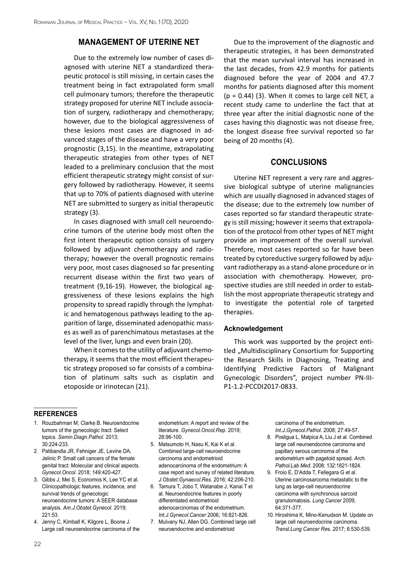## **MANAGEMENT OF UTERINE NET**

Due to the extremely low number of cases diagnosed with uterine NET a standardized therapeutic protocol is still missing, in certain cases the treatment being in fact extrapolated form small cell pulmonary tumors; therefore the therapeutic strategy proposed for uterine NET include association of surgery, radiotherapy and chemotherapy; however, due to the biological aggressiveness of these lesions most cases are diagnosed in advanced stages of the disease and have a very poor prognostic (3,15). In the meantime, extrapolating therapeutic strategies from other types of NET leaded to a preliminary conclusion that the most efficient therapeutic strategy might consist of surgery followed by radiotherapy. However, it seems that up to 70% of patients diagnosed with uterine NET are submitted to surgery as initial therapeutic strategy (3).

In cases diagnosed with small cell neuroendocrine tumors of the uterine body most often the first intent therapeutic option consists of surgery followed by adjuvant chemotherapy and radiotherapy; however the overall prognostic remains very poor, most cases diagnosed so far presenting recurrent disease within the first two years of treatment (9,16-19). However, the biological aggressiveness of these lesions explains the high propensity to spread rapidly through the lymphatic and hematogenous pathways leading to the apparition of large, disseminated adenopathic masses as well as of parenchimatous metastases at the level of the liver, lungs and even brain (20).

When it comes to the utility of adjuvant chemotherapy, it seems that the most efficient therapeutic strategy proposed so far consists of a combination of platinum salts such as cisplatin and etoposide or irinotecan (21).

Due to the improvement of the diagnostic and therapeutic strategies, it has been demonstrated that the mean survival interval has increased in the last decades, from 42.9 months for patients diagnosed before the year of 2004 and 47.7 months for patients diagnosed after this moment  $(p = 0.44)$  (3). When it comes to large cell NET, a recent study came to underline the fact that at three year after the initial diagnostic none of the cases having this diagnostic was not disease free, the longest disease free survival reported so far being of 20 months (4).

### **CONCLUSIONS**

Uterine NET represent a very rare and aggressive biological subtype of uterine malignancies which are usually diagnosed in advanced stages of the disease; due to the extremely low number of cases reported so far standard therapeutic strategy is still missing; however it seems that extrapolation of the protocol from other types of NET might provide an improvement of the overall survival. Therefore, most cases reported so far have been treated by cytoreductive surgery followed by adjuvant radiotherapy as a stand-alone procedure or in association with chemotherapy. However, prospective studies are still needed in order to establish the most appropriate therapeutic strategy and to investigate the potential role of targeted therapies.

#### **Acknowledgement**

This work was supported by the project entitled "Multidisciplinary Consortium for Supporting the Research Skills in Diagnosing, Treating and Identifying Predictive Factors of Malignant Gynecologic Disorders", project number PN-III-P1-1.2-PCCDI2017-0833.

#### **references**

- 1. Rouzbahman M, Clarke B. Neuroendocrine tumors of the gynecologic tract: Select topics. *Semin.Diagn.Pathol.* 2013; 30:224-233.
- 2. Patibandla JR, Fehniger JE, Levine DA, Jelinic P. Small cell cancers of the female genital tract: Molecular and clinical aspects. *Gynecol.Oncol.* 2018; 149:420-427.
- 3. Gibbs J, Mei S, Economos K, Lee YC et al. Clinicopathologic features, incidence, and survival trends of gynecologic neuroendocrine tumors: A SEER database analysis. *Am.J.Obstet.Gynecol.* 2019; 221:53.
- 4. Jenny C, Kimball K, Kilgore L, Boone J. Large cell neuroendocrine carcinoma of the

endometrium: A report and review of the literature. *Gynecol.Oncol.Rep*. 2019; 28:96-100.

- 5. Matsumoto H, Nasu K, Kai K et al. Combined large-cell neuroendocrine carcinoma and endometrioid adenocarcinoma of the endometrium: A case report and survey of related literature. *J.Obstet.Gynaecol.Res.* 2016; 42:206-210.
- 6. Tamura T, Jobo T, Watanabe J, Kanai T et al. Neuroendocrine features in poorly differentiated endometrioid adenocarcinomas of the endometrium. *Int.J.Gynecol.Cancer* 2006; 16:821-826.
- 7. Mulvany NJ, Allen DG. Combined large cell neuroendocrine and endometrioid

carcinoma of the endometrium. *Int.J.Gynecol.Pathol.* 2008; 27:49-57.

- 8. Posligua L, Malpica A, Liu J et al. Combined large cell neuroendocrine carcinoma and papillary serous carcinoma of the endometrium with pagetoid spread. *Arch. Pathol.Lab Med*. 2008; 132:1821-1824.
- 9. Froio E, D'Adda T, Fellegara G et al. Uterine carcinosarcoma metastatic to the lung as large-cell neuroendocrine carcinoma with synchronous sarcoid granulomatosis. *Lung Cancer* 2009; 64:371-377.
- 10. Hiroshima K, Mino-Kenudson M. Update on large cell neuroendocrine carcinoma. *Transl.Lung Cancer Re*s. 2017; 6:530-539.